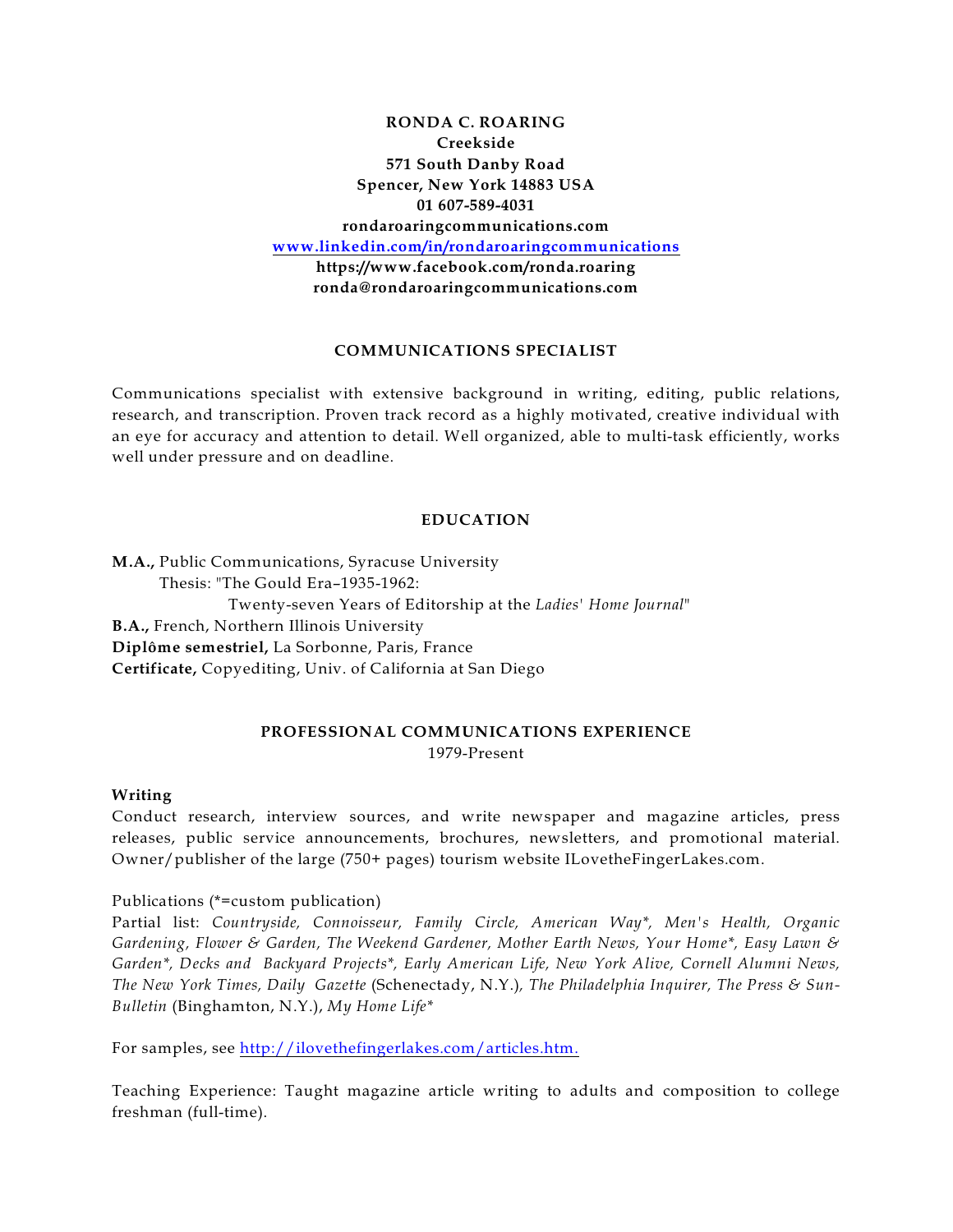**RONDA C. ROARING Creekside 571 South Danby Road Spencer, New York 14883 USA 01 607-589-4031 rondaroaringcommunications.com [www.linkedin.com/in/rondaroaringcommunications](http://www.linkedin.com/in/rondaroaringcommunications) https://www.facebook.com/ronda.roaring ronda@rondaroaringcommunications.com**

### **COMMUNICATIONS SPECIALIST**

Communications specialist with extensive background in writing, editing, public relations, research, and transcription. Proven track record as a highly motivated, creative individual with an eye for accuracy and attention to detail. Well organized, able to multi-task efficiently, works well under pressure and on deadline.

#### **EDUCATION**

**M.A.,** Public Communications, Syracuse University Thesis: "The Gould Era–1935-1962: Twenty-seven Years of Editorship at the *Ladies' Home Journal*" **B.A.,** French, Northern Illinois University **Diplôme semestriel,** La Sorbonne, Paris, France **Certificate,** Copyediting, Univ. of California at San Diego

#### **PROFESSIONAL COMMUNICATIONS EXPERIENCE** 1979-Present

#### **Writing**

Conduct research, interview sources, and write newspaper and magazine articles, press releases, public service announcements, brochures, newsletters, and promotional material. Owner/publisher of the large (750+ pages) tourism website ILovetheFingerLakes.com.

## Publications (\*=custom publication)

Partial list: *Countryside, Connoisseur, Family Circle, American Way\*, Men's Health, Organic Gardening, Flower & Garden, The Weekend Gardener, Mother Earth News, Your Home\*, Easy Lawn & Garden\*, Decks and Backyard Projects\*, Early American Life, New York Alive, Cornell Alumni News, The New York Times, Daily Gazette* (Schenectady, N.Y.)*, The Philadelphia Inquirer, The Press & Sun-Bulletin* (Binghamton, N.Y.), *My Home Life\**

For samples, see <http://ilovethefingerlakes.com/articles.htm.>

Teaching Experience: Taught magazine article writing to adults and composition to college freshman (full-time).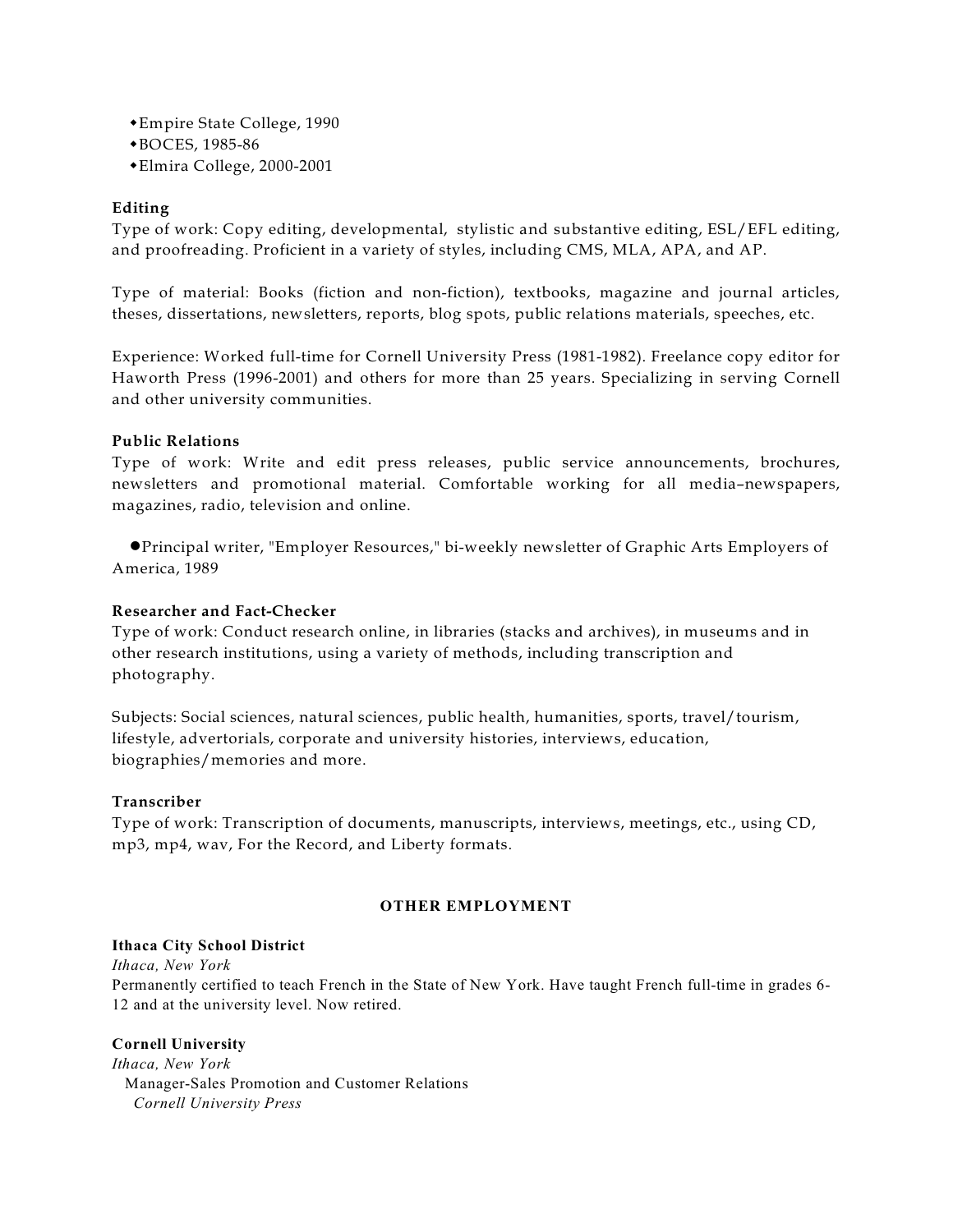- \*Empire State College, 1990
- $\textcdot$ BOCES, 1985-86
- \*Elmira College, 2000-2001

## **Editing**

Type of work: Copy editing, developmental, stylistic and substantive editing, ESL/EFL editing, and proofreading. Proficient in a variety of styles, including CMS, MLA, APA, and AP.

Type of material: Books (fiction and non-fiction), textbooks, magazine and journal articles, theses, dissertations, newsletters, reports, blog spots, public relations materials, speeches, etc.

Experience: Worked full-time for Cornell University Press (1981-1982). Freelance copy editor for Haworth Press (1996-2001) and others for more than 25 years. Specializing in serving Cornell and other university communities.

## **Public Relations**

Type of work: Write and edit press releases, public service announcements, brochures, newsletters and promotional material. Comfortable working for all media–newspapers, magazines, radio, television and online.

!Principal writer, "Employer Resources," bi-weekly newsletter of Graphic Arts Employers of America, 1989

## **Researcher and Fact-Checker**

Type of work: Conduct research online, in libraries (stacks and archives), in museums and in other research institutions, using a variety of methods, including transcription and photography.

Subjects: Social sciences, natural sciences, public health, humanities, sports, travel/tourism, lifestyle, advertorials, corporate and university histories, interviews, education, biographies/memories and more.

### **Transcriber**

Type of work: Transcription of documents, manuscripts, interviews, meetings, etc., using CD, mp3, mp4, wav, For the Record, and Liberty formats.

### **OTHER EMPLOYMENT**

### **Ithaca City School District**

*Ithaca, New York*

Permanently certified to teach French in the State of New York. Have taught French full-time in grades 6- 12 and at the university level. Now retired.

# **Cornell University**

*Ithaca, New York* Manager-Sales Promotion and Customer Relations  *Cornell University Press*